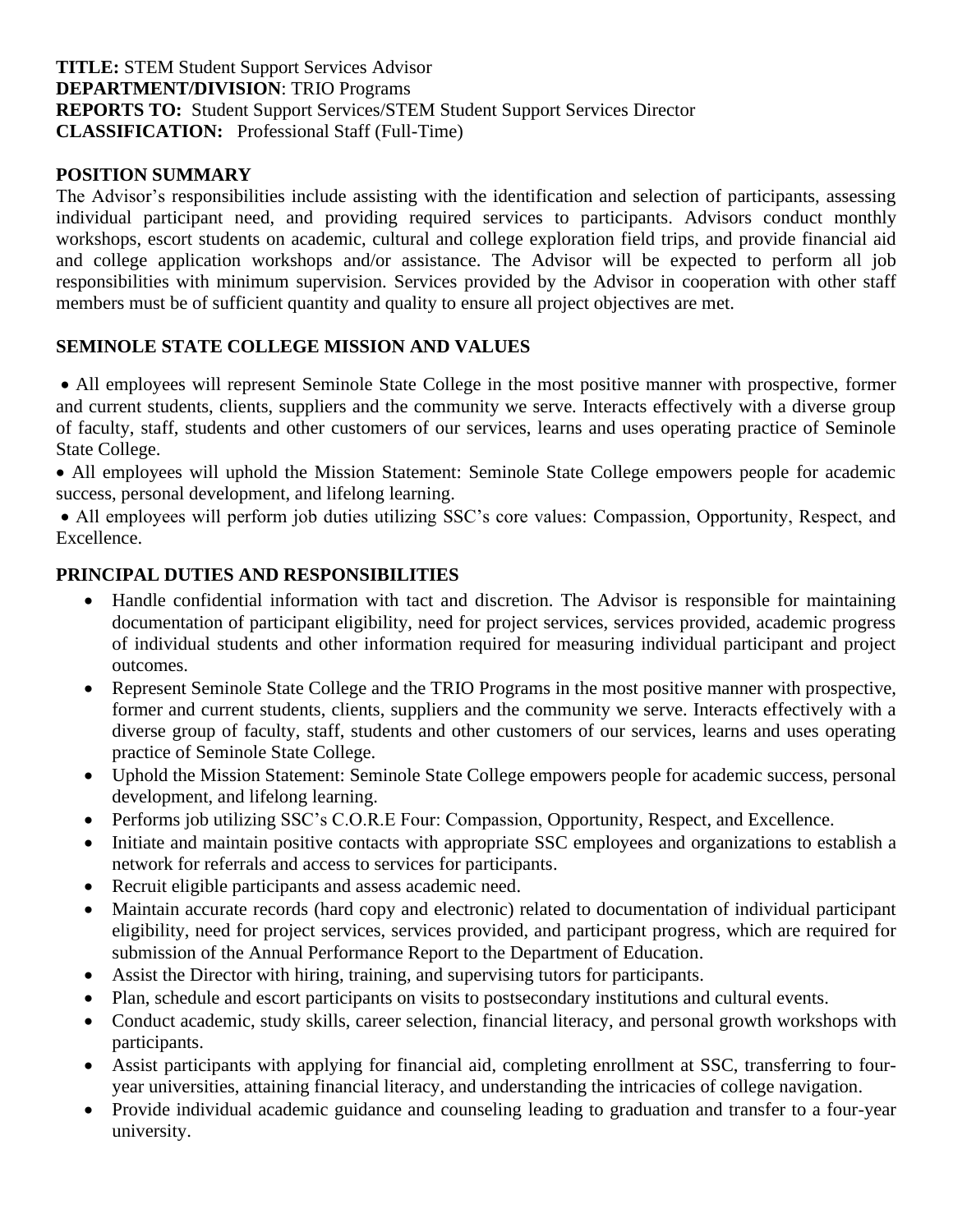**TITLE:** STEM Student Support Services Advisor **DEPARTMENT/DIVISION**: TRIO Programs **REPORTS TO:** Student Support Services/STEM Student Support Services Director **CLASSIFICATION:** Professional Staff (Full-Time)

# **POSITION SUMMARY**

The Advisor's responsibilities include assisting with the identification and selection of participants, assessing individual participant need, and providing required services to participants. Advisors conduct monthly workshops, escort students on academic, cultural and college exploration field trips, and provide financial aid and college application workshops and/or assistance. The Advisor will be expected to perform all job responsibilities with minimum supervision. Services provided by the Advisor in cooperation with other staff members must be of sufficient quantity and quality to ensure all project objectives are met.

# **SEMINOLE STATE COLLEGE MISSION AND VALUES**

• All employees will represent Seminole State College in the most positive manner with prospective, former and current students, clients, suppliers and the community we serve. Interacts effectively with a diverse group of faculty, staff, students and other customers of our services, learns and uses operating practice of Seminole State College.

• All employees will uphold the Mission Statement: Seminole State College empowers people for academic success, personal development, and lifelong learning.

• All employees will perform job duties utilizing SSC's core values: Compassion, Opportunity, Respect, and Excellence.

## **PRINCIPAL DUTIES AND RESPONSIBILITIES**

- Handle confidential information with tact and discretion. The Advisor is responsible for maintaining documentation of participant eligibility, need for project services, services provided, academic progress of individual students and other information required for measuring individual participant and project outcomes.
- Represent Seminole State College and the TRIO Programs in the most positive manner with prospective, former and current students, clients, suppliers and the community we serve. Interacts effectively with a diverse group of faculty, staff, students and other customers of our services, learns and uses operating practice of Seminole State College.
- Uphold the Mission Statement: Seminole State College empowers people for academic success, personal development, and lifelong learning.
- Performs job utilizing SSC's C.O.R.E Four: Compassion, Opportunity, Respect, and Excellence.
- Initiate and maintain positive contacts with appropriate SSC employees and organizations to establish a network for referrals and access to services for participants.
- Recruit eligible participants and assess academic need.
- Maintain accurate records (hard copy and electronic) related to documentation of individual participant eligibility, need for project services, services provided, and participant progress, which are required for submission of the Annual Performance Report to the Department of Education.
- Assist the Director with hiring, training, and supervising tutors for participants.
- Plan, schedule and escort participants on visits to postsecondary institutions and cultural events.
- Conduct academic, study skills, career selection, financial literacy, and personal growth workshops with participants.
- Assist participants with applying for financial aid, completing enrollment at SSC, transferring to fouryear universities, attaining financial literacy, and understanding the intricacies of college navigation.
- Provide individual academic guidance and counseling leading to graduation and transfer to a four-year university.